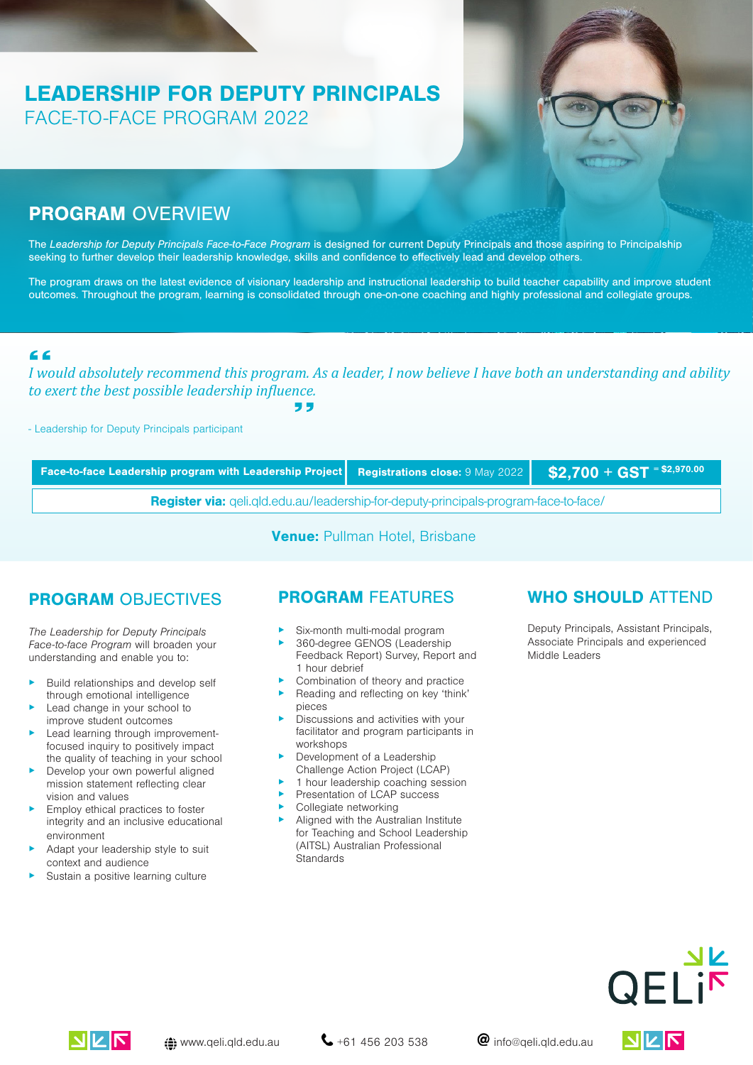# LEADERSHIP FOR DEPUTY PRINCIPALS FACE-TO-FACE PROGRAM 2022



### PROGRAM OVERVIEW

The *Leadership for Deputy Principals Face-to-*F*ace Program* is designed for current Deputy Principals and those aspiring to Principalship seeking to further develop their leadership knowledge, skills and confidence to effectively lead and develop others.

The program draws on the latest evidence of visionary leadership and instructional leadership to build teacher capability and improve student outcomes. Throughout the program, learning is consolidated through one-on-one coaching and highly professional and collegiate groups.

#### $C$

*I would absolutely recommend this program. As a leader, I now believe I have both an understanding and ability to exert the best possible leadership influence.*

- Leadership for Deputy Principals participant

Face-to-face Leadership program with Leadership Project Registrations close: 9 May 2022 S2,700 + GST = \$2,970.00

Register via: [qeli.qld.edu.au/leadership-for-deputy-principals-program-face-to-face/](https://qeli.qld.edu.au/leadership-for-deputy-principals-program-face-to-face/)

Venue: Pullman Hotel, Brisbane

### PROGRAM OBJECTIVES

The Leadership for Deputy Principals Face-to-face Program will broaden your understanding and enable you to:

- Build relationships and develop self through emotional intelligence
- Lead change in your school to improve student outcomes
- Lead learning through improvementfocused inquiry to positively impact the quality of teaching in your school
- Develop your own powerful aligned mission statement reflecting clear vision and values
- Employ ethical practices to foster integrity and an inclusive educational environment
- Adapt your leadership style to suit context and audience
- Sustain a positive learning culture

#### PROGRAM FEATURES

- Six-month multi-modal program
- 360-degree GENOS (Leadership Feedback Report) Survey, Report and 1 hour debrief
- Combination of theory and practice
- ▸ Reading and reflecting on key 'think' pieces
- ▸ Discussions and activities with your facilitator and program participants in workshops
- ▶ Development of a Leadership Challenge Action Project (LCAP)
- 1 hour leadership coaching session
- Presentation of LCAP success
- Collegiate networking
- ▸ Aligned with the Australian Institute for Teaching and School Leadership (AITSL) Australian Professional **Standards**

### WHO SHOULD ATTEND

Deputy Principals, Assistant Principals, Associate Principals and experienced Middle Leaders



JILIR